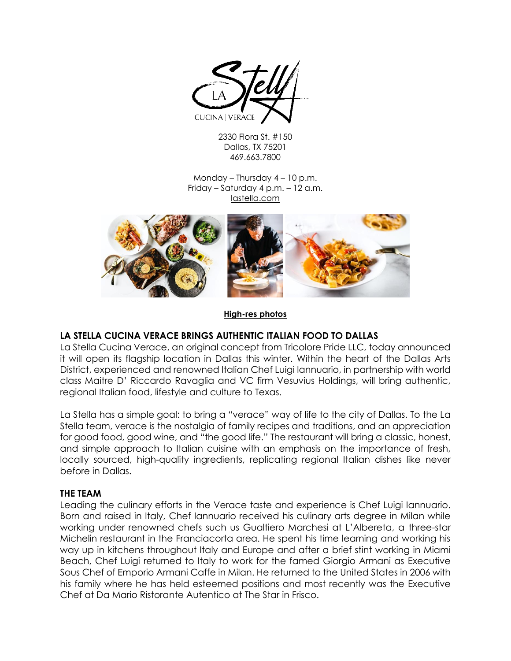

2330 Flora St. #150 Dallas, TX 75201 469.663.7800

Monday – Thursday 4 – 10 p.m. Friday – Saturday 4 p.m. – 12 a.m. lastella.com



#### **[High-res photos](https://wearebreadandbutter.box.com/s/yq117eoojcs9btuiua5u6vm9585sz16u)**

# **LA STELLA CUCINA VERACE BRINGS AUTHENTIC ITALIAN FOOD TO DALLAS**

La Stella Cucina Verace, an original concept from Tricolore Pride LLC, today announced it will open its flagship location in Dallas this winter. Within the heart of the Dallas Arts District, experienced and renowned Italian Chef Luigi Iannuario, in partnership with world class Maitre D' Riccardo Ravaglia and VC firm Vesuvius Holdings, will bring authentic, regional Italian food, lifestyle and culture to Texas.

La Stella has a simple goal: to bring a "verace" way of life to the city of Dallas. To the La Stella team, verace is the nostalgia of family recipes and traditions, and an appreciation for good food, good wine, and "the good life." The restaurant will bring a classic, honest, and simple approach to Italian cuisine with an emphasis on the importance of fresh, locally sourced, high-quality ingredients, replicating regional Italian dishes like never before in Dallas.

### **THE TEAM**

Leading the culinary efforts in the Verace taste and experience is Chef Luigi Iannuario. Born and raised in Italy, Chef Iannuario received his culinary arts degree in Milan while working under renowned chefs such us Gualtiero Marchesi at L'Albereta, a three-star Michelin restaurant in the Franciacorta area. He spent his time learning and working his way up in kitchens throughout Italy and Europe and after a brief stint working in Miami Beach, Chef Luigi returned to Italy to work for the famed Giorgio Armani as Executive Sous Chef of Emporio Armani Caffe in Milan. He returned to the United States in 2006 with his family where he has held esteemed positions and most recently was the Executive Chef at Da Mario Ristorante Autentico at The Star in Frisco.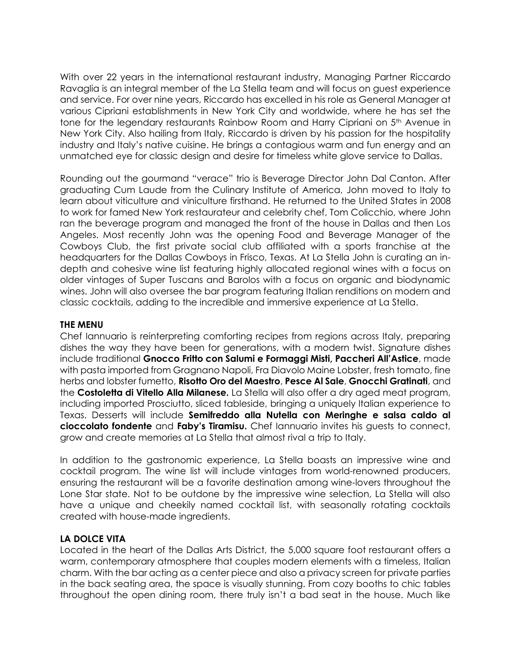With over 22 years in the international restaurant industry, Managing Partner Riccardo Ravaglia is an integral member of the La Stella team and will focus on guest experience and service. For over nine years, Riccardo has excelled in his role as General Manager at various Cipriani establishments in New York City and worldwide, where he has set the tone for the legendary restaurants Rainbow Room and Harry Cipriani on 5<sup>th</sup> Avenue in New York City. Also hailing from Italy, Riccardo is driven by his passion for the hospitality industry and Italy's native cuisine. He brings a contagious warm and fun energy and an unmatched eye for classic design and desire for timeless white glove service to Dallas.

Rounding out the gourmand "verace" trio is Beverage Director John Dal Canton. After graduating Cum Laude from the Culinary Institute of America, John moved to Italy to learn about viticulture and viniculture firsthand. He returned to the United States in 2008 to work for famed New York restaurateur and celebrity chef, Tom Colicchio, where John ran the beverage program and managed the front of the house in Dallas and then Los Angeles. Most recently John was the opening Food and Beverage Manager of the Cowboys Club, the first private social club affiliated with a sports franchise at the headquarters for the Dallas Cowboys in Frisco, Texas. At La Stella John is curating an indepth and cohesive wine list featuring highly allocated regional wines with a focus on older vintages of Super Tuscans and Barolos with a focus on organic and biodynamic wines. John will also oversee the bar program featuring Italian renditions on modern and classic cocktails, adding to the incredible and immersive experience at La Stella.

### **THE MENU**

Chef Iannuario is reinterpreting comforting recipes from regions across Italy, preparing dishes the way they have been for generations, with a modern twist. Signature dishes include traditional **Gnocco Fritto con Salumi e Formaggi Misti, Paccheri All'Astice**, made with pasta imported from Gragnano Napoli, Fra Diavolo Maine Lobster, fresh tomato, fine herbs and lobster fumetto, **Risotto Oro del Maestro**, **Pesce Al Sale**, **Gnocchi Gratinati**, and the **Costoletta di Vitello Alla Milanese.** La Stella will also offer a dry aged meat program, including imported Prosciutto, sliced tableside, bringing a uniquely Italian experience to Texas. Desserts will include **Semifreddo alla Nutella con Meringhe e salsa caldo al cioccolato fondente** and **Faby's Tiramisu.** Chef Iannuario invites his guests to connect, grow and create memories at La Stella that almost rival a trip to Italy.

In addition to the gastronomic experience, La Stella boasts an impressive wine and cocktail program. The wine list will include vintages from world-renowned producers, ensuring the restaurant will be a favorite destination among wine-lovers throughout the Lone Star state. Not to be outdone by the impressive wine selection, La Stella will also have a unique and cheekily named cocktail list, with seasonally rotating cocktails created with house-made ingredients.

# **LA DOLCE VITA**

Located in the heart of the Dallas Arts District, the 5,000 square foot restaurant offers a warm, contemporary atmosphere that couples modern elements with a timeless, Italian charm. With the bar acting as a center piece and also a privacy screen for private parties in the back seating area, the space is visually stunning. From cozy booths to chic tables throughout the open dining room, there truly isn't a bad seat in the house. Much like